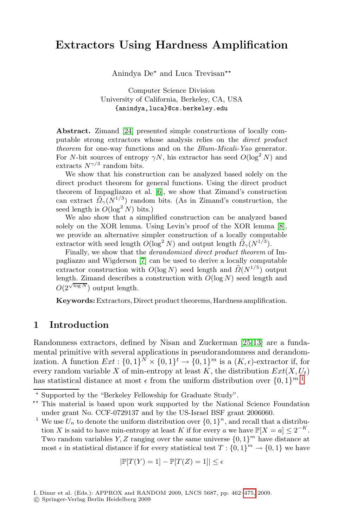# **Extractors Using Hardness Amplification**

Anindya  $De^{\star}$  and Luca Trevisan<sup>\*\*</sup>

Computer Science Division University of California, Berkeley, CA, USA {anindya,luca}@cs.berkeley.edu

**Abstract.** Zimand [24] presented simple constructions of locally computable strong extractors whose analysis relies on the *direct product theorem* for one-way functions and on the *Blum-Micali-Yao* generator. For N-bit sources of entropy  $\gamma N$ , his extractor [ha](#page-12-0)s seed  $O(\log^2 N)$  and extracts  $N^{\gamma/3}$  random bits.

We show that his construction can be analyzed based solely on the direc[t p](#page-12-1)roduct theorem for general functions. Using the direct product theorem of Impagliazzo et al. [6], we show that Zimand's construction can extract  $\tilde{Q}_{\gamma}(N^{1/3})$  random bits. (As in Zimand's construction, the seed length is  $O(\log^2 N)$  bits.)

We also show that a simplified construction can be analyzed based solely on the XOR lemma. Using Levin's proof of the XOR lemma [8], we provide an alternative simpler construction of a locally computable extractor with seed length  $O(\log^2 N)$  and output length  $\tilde{Q}_{\gamma}(N^{1/3})$ .

Finally, we show that the *derandomized direct product theorem* of Impagliazzo and Wigderson [7] can be used to derive a locally computable extractor construction with  $O(\log N)$  se[ed](#page-13-1) length and  $\tilde{O}(N^{1/5})$  output length. Zimand describes a construction with  $O(\log N)$  seed length and  $O(2^{\sqrt{\log N}})$  output length.

**Keywords:**Extractors, Direct product theorems, Hardn[es](#page-0-0)s amplification.

### **1 Introduction**

<span id="page-0-0"></span>Randomness extractors, defined by Nisan and Zuckerman [25,13] are a fundamental primitive with several applications in pseudorandomness and derandomization. A function  $Ext : \{0,1\}^N \times \{0,1\}^t \to \{0,1\}^m$  is a  $(K, \epsilon)$ -extractor if, for<br>every random variable X of min-entropy at least K, the distribution  $Ext(X, L)$ every random variable X of min-entropy at least K, the distribution  $Ext(X, U_t)$ has statistical distance at most  $\epsilon$  from the uniform distribution over  $\{0, 1\}^{m}$ .<sup>1</sup>

$$
|\mathbb{P}[T(Y) = 1] - \mathbb{P}[T(Z) = 1]| \le \epsilon
$$

Supported by the "Berkeley Fellowship for Graduate Study".

<sup>\*\*</sup> This material is based upon work supported by the National Science Foundation under grant No. CCF-0729137 and by the US-Israel BSF grant 2006060.

<sup>&</sup>lt;sup>1</sup> We use  $U_n$  to denote the uniform distribut[ion o](#page-13-2)ver  $\{0,1\}^n$ , and recall that a distribution X is said to have min-entropy at least K if for every a we have  $\mathbb{P}[X=a] \leq 2^{-K}$ . Two random variables Y, Z ranging over the same universe  $\{0, 1\}^m$  have distance at most  $\epsilon$  in statistical distance if for every statistical test  $T : \{0,1\}^m \to \{0,1\}$  we have

I. Dinur et al. (Eds.): APPROX and RANDOM 2009, LNCS 5687, pp. 462–475, 2009.

<sup>-</sup>c Springer-Verlag Berlin Heidelberg 2009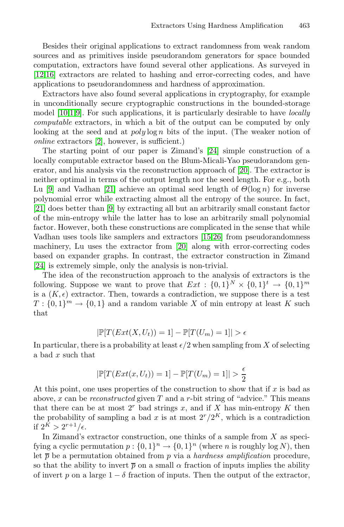Besides their original applications to extract randomness from weak random sources and as primitives inside pseudorandom generators for space bounded [c](#page-12-2)omputation, extractors have found several other applications. As surveyed in [12,16] extractors are related [to h](#page-13-3)ashing and error-correcting codes, and have applications to pseudorandomness and hardness of approximation.

Extractors have also found several a[pplic](#page-13-4)ations in cryptography, for example in unconditionally secure cryptographic constructions in the bounded-storage [mod](#page-13-5)el [10,1,9]. For such applications, it is particularly desirable to have *locally computable* extractors, in which a bit of the output can be computed by only lo[ok](#page-13-6)ing at the seed and at  $poly \log n$  bits of the input. (The weaker notion of *online* extractors [2], however, is sufficient.)

The starting point of our paper is Zimand's [24] simple construction of a locally computable extractor [bas](#page-13-7)[ed](#page-13-8) on the Blum-Micali-Yao pseudorandom generator, and his analysi[s vi](#page-13-4)a the reconstruction approach of [20]. The extractor is neither optimal in terms of the output length nor the seed length. For e.g., both Lu [9] and Vadhan [21] achieve an optimal seed length of  $\Theta(\log n)$  for inverse polynomial error while extracting almost all the entropy of the source. In fact, [21] does better than [9] by extracting all but an arbitrarily small constant factor of the min-entropy while the latter has to lose an arbitrarily small polynomial factor. However, both these constructions are complicated in the sense that while Vadhan uses tools like samplers and extractors [15,26] from pseudorandomness machinery, Lu uses the extractor from [20] along with error-correcting codes based on expander graphs. In contrast, the extractor construction in Zimand [24] is extremely simple, only the analysis is non-trivial.

The idea of the reconstruction approach to the analysis of extractors is the following. Suppose we want to prove that  $Ext : \{0,1\}^N \times \{0,1\}^t \rightarrow \{0,1\}^m$ is a  $(K, \epsilon)$  extractor. Then, towards a contradiction, we suppose there is a test<br> $T \cdot \{0, 1\}^m \rightarrow \{0, 1\}$  and a random variable X of min entropy at least K such  $T: \{0,1\}^m \to \{0,1\}$  and a random variable X of min entropy at least K such that

$$
|\mathbb{P}[T(Ext(X, U_t)) = 1] - \mathbb{P}[T(U_m) = 1]| > \epsilon
$$

In particular, there is a probability at least  $\epsilon/2$  when sampling from X of selecting<br>a had x such that a bad x such that

$$
|\mathbb{P}[T(Ext(x, U_t)) = 1] - \mathbb{P}[T(U_m) = 1]| > \frac{\epsilon}{2}
$$

At this point, one uses properties of the construction to show that if  $x$  is bad as above, x can be *reconstructed* given T and a r-bit string of "advice." This means that there can be at most  $2<sup>r</sup>$  bad strings x, and if X has min-entropy K then the probability of sampling a bad x is at most  $2^r/2^K$ , which is a contradiction if  $2^K > 2^{r+1}/\epsilon$ .<br>In Zimand's

In Zimand's extractor construction, one thinks of a sample from  $X$  as specifying a cyclic permutation  $p: \{0,1\}^n \to \{0,1\}^n$  (where n is roughly log N), then let  $\bar{p}$  be a permutation obtained from p via a *hardness amplification* procedure, so that the ability to invert  $\bar{p}$  on a small  $\alpha$  fraction of inputs implies the ability of invert p on a large  $1 - \delta$  fraction of inputs. Then the output of the extractor,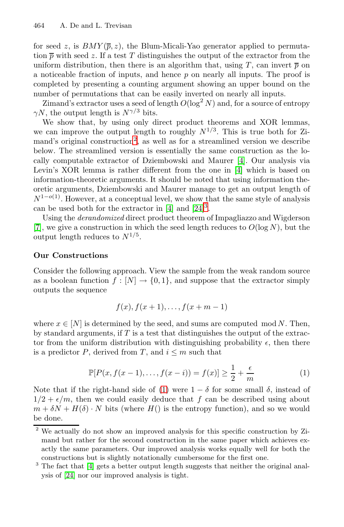for seed z, is  $BMY(\overline{p}, z)$ , the Blum-Micali-Yao generator applied to permutation  $\bar{p}$  with seed z. If a test T distinguishes the output of the extractor from the uniform [dis](#page-2-0)tribution, then there is an algorithm that, using T, can invert  $\bar{p}$  on a noticeable fraction of inputs, and hence  $p$  on nearly all inputs. The proof is completed by presenting a counting ar[gum](#page-12-3)ent showing an upper bound on the number of permutations that can be e[asi](#page-12-3)ly inverted on nearly all inputs.

Zimand's extractor uses a seed of length  $O(\log^2 N)$  and, for a source of entropy  $\gamma N$ , the output length is  $N^{\gamma/3}$  bits.

We show that, by using only direct product theorems and XOR lemmas, w[e](#page-12-3) can improve the outpu[t l](#page-13-3)[en](#page-2-1)gth to roughly  $N^{1/3}$ . This is true both for Zimand's original construction<sup>2</sup>, as well as for a streamlined version we describe below. The streamlined version is essentially the same construction as the locally computable extractor of Dziembowski and Maurer [4]. Our analysis via Levin's XOR lemma is rather different from the one in [4] which is based on information-theoretic arguments. It should be noted that using information theoretic arguments, Dziembowski and Maurer manage to get an output length of  $N^{1-o(1)}$ . However, at a conceptual level, we show that the same style of analysis can be used both for the extractor in  $[4]$  and  $[24]$ <sup>3</sup>.

Using the *derandomized* direct product theorem of Impagliazzo and Wigderson [7], we give a construction in which the seed length reduces to  $O(\log N)$ , but the output length reduces to  $N^{1/5}$ .

### **Our Constructions**

Consider the following approach. View the sample from the weak random source as a boolean function  $f : [N] \to \{0, 1\}$ , and suppose that the extractor simply outputs the sequence

$$
f(x), f(x+1), \ldots, f(x+m-1)
$$

where  $x \in [N]$  is determined by the seed, and sums are computed mod N. Then, by standard arguments, if  $T$  is a test that distinguishes the output of the extractor from the uniform distribution with distinguishing probability  $\epsilon$ , then there<br>is a predictor  $P$  derived from  $T$  and  $i \leq m$  such that is a predictor P, derived from T, and  $i \leq m$  such that

$$
\mathbb{P}[P(x, f(x-1), \dots, f(x-i)) = f(x)] \ge \frac{1}{2} + \frac{\epsilon}{m}
$$
\n<sup>(1)</sup>

<span id="page-2-1"></span><span id="page-2-0"></span>Note that if the right-hand side of (1) were  $1 - \delta$  for some small  $\delta$ , instead of  $1/2 + \epsilon/m$ , then we could easily deduce that f can be described using about  $1/2 + \epsilon/m$ , then we could easily deduce that f can be described using about  $m + \delta N + H(\delta)$ . N bits (where H() is the entropy function) and so we would  $m + \delta N + H(\delta) \cdot N$  bits (where  $H(\delta)$  is the entropy function), and so we would be done.

<sup>&</sup>lt;sup>2</sup> We actually do not show an improved analysis for this specific construction by Zimand but rather for the second construction in the same paper which achieves exactly the same parameters. Our improved analysis works equally well for both the constructions but is slightly notationally cumbersome for the first one.

<sup>&</sup>lt;sup>3</sup> The fact that [4] gets a better output length suggests that neither the original analysis of [24] nor our improved analysis is tight.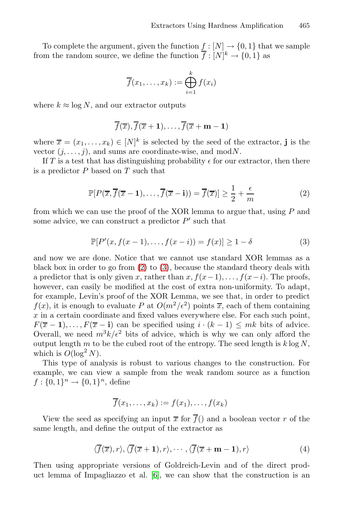To complete the argument, given the function  $f : [N] \to \{0, 1\}$  that we sample from the random source, we define the function  $f: [N]^k \to \{0,1\}$  as

$$
\overline{f}(x_1,\ldots,x_k):=\bigoplus_{i=1}^k f(x_i)
$$

where  $k \approx \log N$ , and our extractor outputs

$$
\overline{f}(\overline{x}), \overline{f}(\overline{x}+1), \ldots, \overline{f}(\overline{x}+m-1)
$$

<span id="page-3-0"></span>where  $\overline{x} = (x_1, \ldots, x_k) \in [N]^k$  is selected by the seed of the extractor, **j** is the vector  $(i \quad i)$  and sums are coordinate-wise and mod N vector  $(j, \ldots, j)$ , and sums are coordinate-wise, and mod $N$ .

If T is a test that has distinguishing probability  $\epsilon$  for our extractor, then there<br>a prodictor P based on T such that is a predictor  ${\cal P}$  based on  ${\cal T}$  such that

$$
\mathbb{P}[P(\overline{x}, \overline{f}(\overline{x} - 1), \dots, \overline{f}(\overline{x} - i)) = \overline{f}(\overline{x})] \ge \frac{1}{2} + \frac{\epsilon}{m}
$$
(2)

from which we can use the proof of the XOR lemma to argue that, using  $P$  and some advice, we can construct a predictor  $P'$  such that some advice, we can construct a predictor  $P'$  such that

$$
\mathbb{P}[P'(x, f(x-1),..., f(x-i)) = f(x)] \ge 1 - \delta
$$
 (3)

and now we are done. Notice that we cannot use standard XOR lemmas as a black box in order to go from (2) to (3), because the standard theory deals with a predictor that is only given x, rather than  $x, f(x-1),..., f(x-i)$ . The proofs, however, can easily be modified at the cost of extra non-uniformity. To adapt, for example, Levin's proof of the XOR Lemma, we see that, in order to predict  $f(x)$ , it is enough to evaluate P at  $O(m^2/\epsilon^2)$  points  $\overline{x}$ , each of them containing x in a certain coordinate and fixed values everywhere else. For each such point  $x$  in a certain coordinate and fixed values everywhere else. For each such point,  $F(\overline{x} - 1), \ldots, F(\overline{x} - i)$  can be specified using  $i \cdot (k - 1) \leq mk$  bits of advice. Overall, we need  $m^3k/\epsilon^2$  bits of advice, which is why we can only afford the output length  $m$  to be the cubed root of the entropy. The seed length is k log N output length m to be the cubed root of the entropy. The seed length is  $k \log N$ . which is  $O(\log^2 N)$ .

This type of analysis is robust to various changes to the construction. For example, we can view a sample from the weak random source as a function  $f: \{0,1\}^n \to \{0,1\}^n$ , define

$$
\overline{f}(x_1,\ldots,x_k):=f(x_1),\ldots,f(x_k)
$$

View the seed as specifying an input  $\overline{x}$  for  $\overline{f}$  and a boolean vector r of the same length, and define the output of the extractor as

$$
\langle \overline{f}(\overline{x}), r \rangle, \langle \overline{f}(\overline{x} + \mathbf{1}), r \rangle, \cdots, \langle \overline{f}(\overline{x} + \mathbf{m} - \mathbf{1}), r \rangle \tag{4}
$$

Then using appropriate versions of Goldreich-Levin and of the direct product lemma of Impagliazzo et al. [6], we can show that the construction is an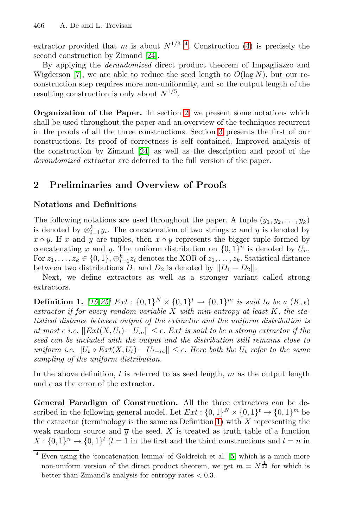extractor provided that m is about  $N^{1/3}$  4. Construction (4) is precisely the second construction by Zimand [2[4\].](#page-7-0)

By applying the *derandomized* direct product theorem of Impagliazzo and Wigderson [\[7\],](#page-13-3) we are able to reduce the seed length to  $O(\log N)$ , but our reconstruction step requires more non-uniformity, and so the output length of the resulting construction is only about  $N^{1/5}$ .

**Organization of the Paper.** In section 2, we present some notations which shall be used throughout the paper and an overview of the techniques recurrent in the proofs of all the three constructions. Section 3 presents the first of our constructions. Its proof of correctness is self contained. Improved analysis of the construction by Zimand [24] as well as the description and proof of the *derandomized* extractor are deferred to the full version of the paper.

# **2 Preliminaries and Overview of Proofs**

### **Notations and Definitions**

<span id="page-4-0"></span>The following notations are used throughout the paper. A tuple  $(y_1, y_2, \ldots, y_k)$ [is](#page-13-0) [d](#page-13-0)enoted by  $\otimes_{i=1}^k y_i$ . The concatenation of two strings x and y is denoted by  $x \circ y$ . If x and y are tuples then  $x \circ y$  represents the bigger tuple formed by  $x \circ y$ . If x and y are tuples, then  $x \circ y$  represents the bigger tuple formed by concatenating x and y. The uniform distribution on  $\{0,1\}^n$  is denoted by  $U_n$ . concatenating x and y. The uniform distribution on  $\{0, 1\}^n$  is denoted by  $U_n$ .<br>For  $z_i = z_0 \in \{0, 1\}$  as  $z_i$  denotes the XOB of  $z_i = z_i$ . Statistical distance For  $z_1, \ldots, z_k \in \{0,1\}, \oplus_{i=1}^k z_i$  denotes the XOR of  $z_1, \ldots, z_k$ . Statistical distance<br>between two distributions  $D_1$  and  $D_2$  is denoted by  $||D_1 - D_2||$ between two distributions  $D_1$  and  $D_2$  is denoted by  $||D_1 - D_2||$ .

Next, we define extractors as well as a stronger variant called strong extractors.

**Definition 1.** [15,25] Ext :  $\{0,1\}^N \times \{0,1\}^t \rightarrow \{0,1\}^m$  is said to be a  $(K,\epsilon)$ <br>extractor if for every random variable X with min-entropy at least K, the sta*extractor if for every random variable* X *with min-entropy at least* K*, the statistical distance between output of the extractor and the uniform distribution is at most*  $\epsilon$  *i.e.*  $||Ext(X, U_t) - U_m|| \leq \epsilon$ . Ext is said to be a strong extractor if the<br>seed can be included with the output and the distribution still remains close to *seed can be included with the output and the distribution still remains close to uniform i.e.*  $||U_t \circ Ext(X, U_t) - U_{t+m}|| \le \epsilon$  $||U_t \circ Ext(X, U_t) - U_{t+m}|| \le \epsilon$  $||U_t \circ Ext(X, U_t) - U_{t+m}|| \le \epsilon$ . Here both the  $U_t$  refer to the same sampling of the uniform distribution *sampling of the uniform distribution.*

In the above definition,  $t$  is referred to as seed length,  $m$  as the output length and  $\epsilon$  as the error of the extractor.

**General Paradigm of Construction.** All the three extractors can be described in the following general model. Let  $Ext : \{0,1\}^N \times \{0,1\}^t \rightarrow \{0,1\}^m$  be the extractor (terminology is the same as Definition 1) with  $X$  representing the weak random source and  $\bar{v}$  the seed. X is treated as truth table of a function  $X: \{0,1\}^n \to \{0,1\}^l$  ( $l = 1$  in the first and the third constructions and  $l = n$  in

<sup>4</sup> Even using the 'concatenation lemma' of Goldreich et al. [5] which is a much more non-uniform version of the direct product theorem, we get  $m = N^{\frac{1}{10}}$  for which is better than Zimand's analysis for entropy rates  $< 0.3$ .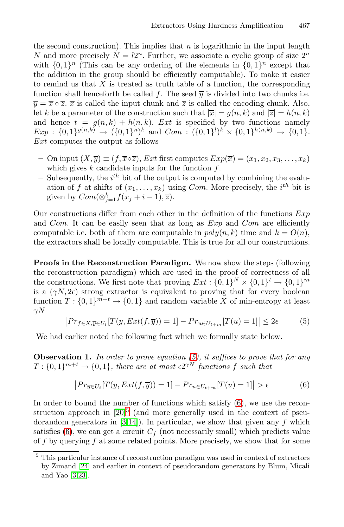the second construction). This implies that  $n$  is logarithmic in the input length N and more precisely  $N = l2^n$ . Further, we associate a cyclic group of size  $2^n$ with  $\{0, 1\}^n$  (This can be any ordering of the elements in  $\{0, 1\}^n$  except that the addition in the group should be efficiently computable). To make it easier to remind us that  $X$  is treated as truth table of a function, the corresponding function shall henceforth be called f. The seed  $\overline{y}$  is divided into two chunks i.e.  $\overline{y} = \overline{x} \circ \overline{z}$ .  $\overline{x}$  is called the input chunk and  $\overline{z}$  is called the encoding chunk. Also, let k be a parameter of the construction such that  $|\overline{x}| = q(n, k)$  and  $|\overline{z}| = h(n, k)$ and hence  $t = g(n, k) + h(n, k)$ . Ext is specified by two functions namely  $Exp: \{0,1\}^{g(n,k)} \to (\{0,1\}^n)^k$  and  $Com: (\{0,1\}^l)^k \times \{0,1\}^{h(n,k)} \to \{0,1\}.$ <br>Ext computes the output as follows Ext computes the output as follows

- **–** On input  $(X, \overline{y}) \equiv (f, \overline{x} \circ \overline{z})$ , *Ext* first computes  $Exp(\overline{x}) = (x_1, x_2, x_3, \ldots, x_k)$ which gives  $k$  candidate inputs for the function  $f$ .
- **–** Subsequently, the i Subsequently, the  $i^{th}$  bit of the output is computed by combining the evaluation of f at shifts of  $(x_1, \ldots, x_k)$  using Com. More precisely, the  $i^{th}$  bit is given by  $Com(\otimes^k f(x+i-1) \overline{z})$ given by  $Com(\otimes_{j=1}^k f(x_j+i-1), \overline{z}).$

<span id="page-5-0"></span>Our constructions differ from each other in the definition of the functions  $Exp$ and Com. It can be easily seen that as long as  $Exp$  and Com are efficiently computable i.e. both of them are computable in  $poly(n, k)$  time and  $k = O(n)$ , the extractors shall be locally computable. This is true for all our constructions.

**Proofs in the Reconstruction Paradigm.** We now show the steps (following the reconstruction paradigm) which are used in the proof of correctness of all the constructions. We firs[t n](#page-5-0)ote that proving  $Ext : \{0,1\}^N \times \{0,1\}^t \rightarrow \{0,1\}^m$ is a  $(\gamma N, 2\epsilon)$ <br>function  $T \cdot$ is a  $(\gamma N, 2\epsilon)$  strong extractor is equivalent to proving that for every boolean function  $T: \{0,1\}^{m+t} \to \{0,1\}$  and random variable X of min-entropy at least  $\sim N$  $\overline{a}$ 

<span id="page-5-2"></span>
$$
\left| Pr_{f \in X, \overline{y} \in U_t} [T(y, Ext(f, \overline{y})) = 1] - Pr_{u \in U_{t+m}} [T(u) = 1] \right| \leq 2\epsilon
$$
 (5)

We [ha](#page-13-4)[d](#page-5-1) earlier noted the following fact which we formally state below.

**Observation 1.** *In order to prove equation (5), it suffices to prove that for any*  $T: \{0,1\}^{m+t} \to \{0,1\}$ , there are at most  $\epsilon 2^{\gamma N}$  functions f such that

$$
\left| Pr_{\overline{y} \in U_t} [T(y, Ext(f, \overline{y})) = 1] - Pr_{u \in U_{t+m}} [T(u) = 1] \right| > \epsilon
$$
 (6)

<span id="page-5-1"></span>In order to bound the number of functions which satisfy (6), we use the reconstruction approach in  $[20]$ <sup>5</sup> (and more generally used in the context of pseudorandom generators in  $[3,14]$ ). In particular, we show that given any f which satisfies (6), we can get a circuit  $C_f$  (not necessarily small) which predicts value of f by querying f at some related points. More precisely, we show that for some

<sup>5</sup> This particular instance of reconstruction paradigm was used in context of extractors by Zimand [24] and earlier in context of pseudorandom generators by Blum, Micali and Yao [3,23].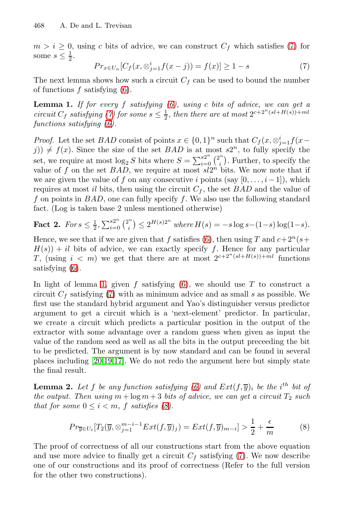<span id="page-6-1"></span><span id="page-6-0"></span> $m>i \geq 0$  $m>i \geq 0$ , using c bits of advice, we can construct  $C_f$  which satisfies (7) for some  $s \leq \frac{1}{2}$ .

$$
Pr_{x \in U_n}[C_f(x, \otimes_{j=1}^i f(x-j)) = f(x)] \ge 1 - s \tag{7}
$$

The next lemma shows how such a circuit  $C_f$  can be used to bound the number of functions  $f$  satisfying  $(6)$ .

**Lemma 1.** *If for every* f *satisfying* (6), using c bits of advice, we can get a circuit  $C_s$  satisfying (7) for some  $s < \frac{1}{\epsilon}$  then there are at most  $2^{c+2^n(sl+H(s))}$ +ml *circuit*  $C_f$  *satisfying* (7) for some  $s \leq \frac{1}{2}$ , then there are at most  $2^{c+2^n(sl+H(s))}+ml$ <br>functions satisfying (6) *functions satisfying (6).*

*Proof.* Let the set BAD consist of points  $x \in \{0,1\}^n$  such that  $C_f(x, \otimes_{j=1}^i f(x - i)) \neq f(x)$ . Since the size of the set BAD is at most  $s2^n$  to fully specify the  $f(j) \neq f(x)$ . Since the size of the set  $BAD$  is at most  $s2^n$ , to fully specify the set, we require at most  $\log_2 S$  bits where  $S = \sum_{i=0}^{S2^n} {2^n \choose i}$ <br>value of f on the set BAD, we require at most  $s/2^n$  . Further, to specify the value of f on the set BAD, [we](#page-5-2) require at most  $sl2^n$  bits. We now note that if we are given the value of f on any consecutive i points (say  $[0,\ldots,i-1]$ ), which requires at most il bits, then using the circuit  $C_f$ , the set  $BAD$  and the value of f on points in  $BAD$ , one can fully specify f. We also use the following standard [fac](#page-6-0)t. (Log is taken bas[e 2](#page-5-2) unless mentioned otherwise)

**F[act](#page-6-1)** 2. *For*  $s \leq \frac{1}{2}$ ,  $\sum_{i=0}^{s2^n} {2^n \choose i}$  $\left( \sum_{s=1}^{\infty} 2^{H(s)2^n} \text{ where } H(s) = -s \log s - (1-s) \log(1-s). \right.$ 

Hence, we see that if we are given that f satisfies (6), then using T and  $c+2^n(s+$  $H(s)$  + il bits of advice, we can exactly specify f. Hence for any particular T, (using  $i < m$ ) we get that there are at most  $2^{c+2^{n}(sl+H(s))+m l}$  functions satisfying (6).

<span id="page-6-3"></span><span id="page-6-2"></span>[I](#page-13-4)[n l](#page-13-9)[igh](#page-13-10)t of lemma 1, given f satisfying  $(6)$ , we should use T to construct a circuit  $C_f$  satisfying (7) with as minimum advice and as small s as possible. We first use the standard hybrid argument and Yao's distinguisher versus predictor argument to get a circuit [w](#page-5-2)hich is a 'next-element' predictor. In particular, we create a circuit which predicts a particular position in the output of the extractor with so[me](#page-6-2) advantage over a random guess when given as input the value of the random seed as well as all the bits in the output preceeding the bit to be predicted. The argument is by now standard and can be found in several places including [20,19,17]. We do not redo the argument here but simply state the final result.

**Lemma 2.** Let f be any function satis[fyi](#page-6-1)ng (6) and  $Ext(f, \overline{y})_i$  be the i<sup>th</sup> bit of<br>the output. Then using  $m + \log m + 3$  bits of advice, we can get a circuit. To such *the output. Then using*  $m + \log m + 3$  *bits of advice, we can get a circuit*  $T_2$  *such that for some*  $0 \leq i \leq m$ , f *satisfies (8)*.

$$
Pr_{\overline{y} \in U_t}[T_2(\overline{y}, \otimes_{j=1}^{m-i-1} Ext(f, \overline{y})_j) = Ext(f, \overline{y})_{m-i}] > \frac{1}{2} + \frac{\epsilon}{m}
$$
(8)

The proof of correctness of all our constructions start from the above equation and use more advice to finally get a circuit  $C_f$  satisfying (7). We now describe one of our constructions and its proof of correctness (Refer to the full version for the other two constructions).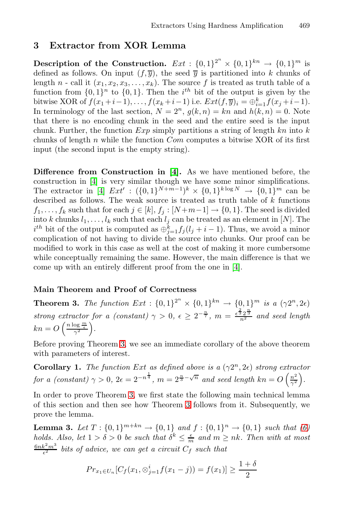# <span id="page-7-0"></span>**3 Extractor from XOR Lemma**

**Description of the Construction.**  $Ext : \{0,1\}^{2^n} \times \{0,1\}^{kn} \rightarrow \{0,1\}^m$  is<br>defined as follows. On input  $(f, \overline{a})$ , the seed  $\overline{a}$  is partitioned into k chunks of defined as follows. On input  $(f, \overline{y})$ , the seed  $\overline{y}$  is partitioned into k chunks of length n - call it  $(x_1, x_2, x_3, ..., x_k)$ . The source f is treated as truth table of a length *n* - call it  $(x_1, x_2, x_3, \ldots, x_k)$ . The source f is treated as truth table of a function from  $\{0, 1\}$ <sup>n</sup> to  $\{0, 1\}$ . Then the *i*<sup>th</sup> bit of the output is given by the function from  $\{0,1\}^n$  to  $\{0,1\}$ . Then the *i*<sup>th</sup> bit of the output is given by the bitwise XOB of  $f(x, \pm i-1)$   $f(x, \pm i-1)$  i.e.  $Ext(f(\vec{x})) = \bigoplus^{k} f(x, \pm i-1)$ bitwise XOR of  $f(x_1+i-1),...,f(x_k+i-1)$  $f(x_1+i-1),...,f(x_k+i-1)$  $f(x_1+i-1),...,f(x_k+i-1)$  i.e.  $Ext(f,\overline{y})_i = \bigoplus_{k=1}^k f(x_j+i-1)$ .<br>In terminology of the last section  $N = 2^n$ ,  $g(k,n) = kn$  and  $h(k,n) = 0$ . Note In terminology of the last section,  $N = 2<sup>n</sup>$ ,  $g(k, n) = kn$  and  $h(k, n) = 0$ . Note [th](#page-12-3)at there is no encoding chunk in the seed and the entire seed is the input chunk. Further, the function  $Exp$  simply partitions a string of length kn into k chunks of length  $n$  while the function  $Com$  computes a bitwise XOR of its first input (the second input is the empty string).

<span id="page-7-1"></span>**Difference from Construction in [4].** As we have mentioned before, the construction in [4] is very similar though we have some minor simplifications. The extractor in [4]  $Ext' : (\{0,1\}^{N+m-1})^k \times \{0,1\}^{k \log N} \to \{0,1\}^m$  $Ext' : (\{0,1\}^{N+m-1})^k \times \{0,1\}^{k \log N} \to \{0,1\}^m$  $Ext' : (\{0,1\}^{N+m-1})^k \times \{0,1\}^{k \log N} \to \{0,1\}^m$  can be described as follows. The weak source is treated as truth table of  $k$  functions  $f_1, \ldots, f_k$  such that for each  $j \in [k], f_j : [N+m-1] \to \{0,1\}$ . The seed is divided into k chunks  $l_1, \ldots, l_k$  such that each  $l_j$  can be treated as an element in [N]. The into k chunks  $l_1, \ldots, l_k$  such that each  $l_j$  can be treated as an element in [N]. The  $i^{th}$  bit of the output is computed as  $\bigoplus_{j=1}^k f_j(l_j + i - 1)$ . Thus, we avoid a minor complication of not baying to divide the sour complication of not having to divide the source into chunks. Our proof can be modified to work in this case as well at the cost of making it more cumbersome while conceptually remaining the same. However, the main difference is that we come [up](#page-7-1) with an entirely different proof from the one in [4].

### **Main Theorem and Proof of Correctness**

**Theorem 3.** *The function*  $Ext : \{0,1\}^{2^n} \times \{0,1\}^{kn} \rightarrow \{0,1\}^{m}$  *is a*  $(\gamma 2^n, 2\epsilon)$ *strong e[xtr](#page-7-1)actor for a (constant)*  $\gamma > 0$ ,  $\epsilon \geq 2^{-\frac{n}{7}}$ ,  $m = \frac{\epsilon^{\frac{2}{3}} 2^{\frac{n}{3}}}{n^2}$  *and seed length*  $kn = O\left(\frac{n \log \frac{m}{\epsilon}}{\gamma^2}\right)$ *.*

<span id="page-7-2"></span>Before proving Theorem 3, we see an immediate corollary of the above theorem with parameters of interest.

**Corollary 1.** *The function Ext as defined above is a*  $(\gamma 2^n, 2\epsilon)$  *strong extractor for a (constant)*  $\gamma > 0$ ,  $2\epsilon = 2^{-n^{\frac{1}{4}}}$ ,  $m = 2^{\frac{n}{3} - \sqrt{n}}$  *and seed length*  $kn = O\left(\frac{n^2}{\gamma^2}\right)$ *.*

In order to prove Theorem 3, we first state the following main technical lemma of this section and then see how Theorem 3 follows from it. Subsequently, we prove the lemma.

**Lemma 3.** *Let*  $T : \{0,1\}^{m+kn} \to \{0,1\}$  *and*  $f : \{0,1\}^n \to \{0,1\}$  *such that*  $(6)$  *holds*  $Also$  *let*  $1 > \delta > 0$  *be such that*  $\delta^k \leq \frac{\epsilon}{m}$  *and*  $m \geq n k$ . Then with at most *holds. Also, let*  $1 > \delta > 0$  *be such that*  $\delta^k \leq \frac{\epsilon}{m}$  *and*  $m \geq nk$ *. Then with at most*  $\frac{6nk^2m^3}{\epsilon^2}$  bits of advice, we can get a circuit  $C_f$  such that

$$
Pr_{x_1 \in U_n}[C_f(x_1, \otimes_{j=1}^i f(x_1 - j)) = f(x_1)] \ge \frac{1 + \delta}{2}
$$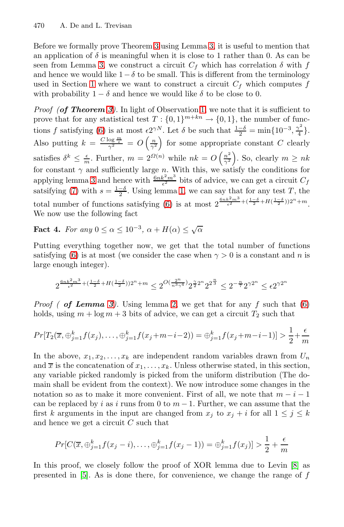Before we formally prove Theorem 3 using Lemma 3, it is useful to mention that [an](#page-5-2) application of  $\delta$  is meaningful when it is close to 1 rather than 0. As can be seen from Lemma 3, we construct a circuit  $C_f$  which has correlation  $\delta$  with  $f$ and hence we would like  $1-\delta$  to be small. This is different from the terminology used in Section 1 where we want to construct a circuit  $C_f$  which computes f with probability  $1 - \delta$  and hence we would like  $\delta$  to be close to 0.

*Proof (of Theorem 3).* In light of Observation 1, we note that it is sufficient to prove that for any sta[tist](#page-6-0)ical test  $T: \{0,1\}^{m+kn} \to \{0,1\}$ , the number of func-tions f satisfying [\(6\)](#page-5-2) is at most  $\epsilon 2^{\gamma N}$ . Let  $\delta$  be such that  $\frac{1-\delta}{2} = \min\{10^{-3}, \frac{\gamma^2}{4}\}.$ Also putting  $k = \frac{C \log \frac{m}{\epsilon}}{\gamma^2} = O\left(\frac{n}{\gamma^2}\right)$ for some appropriate constant C clearly satisfies  $\delta^k \leq \frac{\epsilon}{m}$ . Further,  $m = 2^{\Omega(n)}$  while  $nk = O\left(\frac{n^2}{\gamma^2}\right)$ ). So, clearly  $m \geq nk$ for constant  $\gamma$  and sufficiently large n. With this, we satisfy the conditions for enablely large  $\gamma$  and hence with  $6nk^2m^3$  bits of educasing we see set a singuit G applying lemma 3 and hence with  $\frac{6nk^2m^3}{\epsilon^2}$  bits of advice, we can get a circuit  $C_f$ <br>satsifying (7) with  $e = \frac{1-\delta}{\epsilon}$ . Using lemma 1, we can say that for any tost T, the satsifying (7) with  $s = \frac{1-\delta}{2}$ . Using lemma 1, we can say that for any test T, the total number of functions satisfying (6) is at most  $2^{\frac{6nk^2m^3}{\epsilon^2} + (\frac{1-\delta}{2} + H(\frac{1-\delta}{2}))2^n + m}$ . We now use the following fact

**F[act](#page-7-2)** 4. *For any*  $0 \leq \alpha \leq 10^{-3}$ ,  $\alpha + H(\alpha) \leq \sqrt{\alpha}$ 

Putting everything together now, we get that the total number of functions satisfying (6) is at most (we consider the case when  $\gamma > 0$  is a constant and n is large enough integer).

$$
2^{\frac{6nk^2m^3}{\epsilon^2} + (\frac{1-\delta}{2} + H(\frac{1-\delta}{2}))2^n + m} \le 2^{O(\frac{2^n}{n^3\gamma^4})} 2^{\frac{\gamma}{2}2^n} 2^{2^{\frac{n}{3}}} \le 2^{-\frac{n}{7}} 2^{\gamma 2^n} \le \epsilon 2^{\gamma 2^n}
$$

*Proof ( of Lemma 3)*. Using lemma 2, we get that for any f such that  $(6)$ holds, using  $m + \log m + 3$  bits of advice, we can get a circuit  $T_2$  such that

$$
Pr[T_2(\overline{x}, \oplus_{j=1}^k f(x_j), \dots, \oplus_{j=1}^k f(x_j + m - i - 2)) = \oplus_{j=1}^k f(x_j + m - i - 1)] > \frac{1}{2} + \frac{\epsilon}{m}
$$

In the above,  $x_1, x_2, \ldots, x_k$  are independent random variables drawn from  $U_n$ and  $\overline{x}$  is the concatenation of  $x_1, \ldots, x_k$ . Unless otherwise stated, in this section, any variable picked randomly is picked from the uniform distribution (The domain shall be evident from the context). We now introduce some changes in the notation so as to make it more convenient. First of all, [w](#page-12-0)e note that  $m - i - 1$ can be replaced by i as i runs from 0 to  $m-1$ . Further, we can assume that the first k arguments in the input are changed from  $x_i$  to  $x_j + i$  for all  $1 \leq j \leq k$ and hence we get a circuit  $C$  such that

$$
Pr[C(\overline{x}, \oplus_{j=1}^{k} f(x_j - i), \dots, \oplus_{j=1}^{k} f(x_j - 1)) = \oplus_{j=1}^{k} f(x_j)] > \frac{1}{2} + \frac{\epsilon}{m}
$$

In this proof, we closely follow the proof of XOR lemma due to Levin [8] as presented in  $[5]$ . As is done there, for convenience, we change the range of f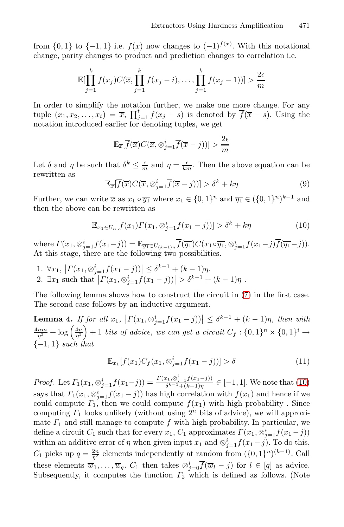from  $\{0,1\}$  to  $\{-1,1\}$  i.e.  $f(x)$  now changes to  $(-1)^{f(x)}$ . With this notational change parity changes to product and prediction changes to correlation i.e. change, parity changes to product and prediction changes to correlation i.e.

$$
\mathbb{E}[\prod_{j=1}^{k} f(x_j) C(\overline{x}, \prod_{j=1}^{k} f(x_j - i), \dots, \prod_{j=1}^{k} f(x_j - 1))] > \frac{2\epsilon}{m}
$$

In order to simplify the notation further, we make one more change. For any tuple  $(x_1, x_2, \ldots, x_t) = \overline{x}, \prod_{j=1}^t f(x_j - s)$  is denoted by  $f(\overline{x} - s)$ . Using the notation introduced earlier for denoting tuples we get notation introduced earlier for denoting tuples, we get

<span id="page-9-1"></span>
$$
\mathbb{E}_{\overline{x}}[\overline{f}(\overline{x})C(\overline{x},\otimes_{j=1}^{i}\overline{f}(\overline{x}-j))] > \frac{2\epsilon}{m}
$$

Let  $\delta$  and  $\eta$  be such that  $\delta^k \leq \frac{\epsilon}{m}$  and  $\eta = \frac{\epsilon}{km}$ . Then the above equation can be rewritten as rewritten as

$$
\mathbb{E}_{\overline{x}}[\overline{f}(\overline{x})C(\overline{x},\otimes_{j=1}^{i}\overline{f}(\overline{x}-j))] > \delta^{k} + k\eta
$$
\n(9)

Further, we can write  $\overline{x}$  as  $x_1 \circ \overline{y_1}$  where  $x_1 \in \{0, 1\}^n$  and  $\overline{y_1} \in (\{0, 1\}^n)^{k-1}$  and then the above can be rewritten as then the above can be rewritten as

<span id="page-9-2"></span>
$$
\mathbb{E}_{x_1 \in U_n}[f(x_1) \Gamma(x_1, \otimes_{j=1}^i f(x_1 - j))] > \delta^k + k\eta
$$
\n(10)

where  $\Gamma(x_1, \otimes_{j=1}^i f(x_1-j)) = \mathbb{E}_{\overline{y_1} \in U_{(k-1)n}} \overline{f}(\overline{y_1}) C(x_1 \circ \overline{y_1}, \otimes_{j=1}^i f(x_1-j) \overline{f}(\overline{y_1}-j)).$  At this stage, there are the following two possibilities.

<span id="page-9-0"></span>1.  $\forall x_1, \left| \Gamma(x_1, \otimes_{j=1}^i f(x_1 - j)) \right| \leq \delta^{k-1} + (k-1)\eta.$ 2.  $\exists x_1 \text{ such that } | \Gamma(x_1, \otimes_{j=1}^i f(x_1 - j)) | > \delta^{k-1} + (k-1)\eta.$ 

The following lemma shows how to construct the circuit in (7) in the first case. The second case follows by an inductive argument.

**Lemma 4.** *If for all*  $x_1$ ,  $\left| \Gamma(x_1, \otimes_{j=1}^i f(x_1 - j)) \right| \leq \delta^{k-1} + (k-1)\eta$ , then with  $\frac{4nm}{\eta^2} + \log \left( \frac{4n}{\eta^2} \right)$  $\begin{cases} + 1 \text{ bits of advice, we can get a circuit } C_f : \{0,1\}^n \times \{0,1\}^i \rightarrow \end{cases}$ {−1, <sup>1</sup>} *such that*

$$
\mathbb{E}_{x_1}[f(x_1)C_f(x_1,\otimes_{j=1}^i f(x_1-j))] > \delta
$$
\n(11)

*Proof.* Let  $\Gamma_1(x_1, \otimes_{j=1}^i f(x_1-j)) = \frac{\Gamma(x_1, \otimes_{j=1}^i f(x_1-j))}{\delta^{k-1}+(k-1)\eta}$  $\delta^{k-1}$ <sub>i</sub>, $\omega_{j=1}$  ( $\mu$ -1) $\eta$   $\in$  [-1, 1]. We note that (10)<br>inharmonistic multiple f(x) and have if we says that  $\Gamma_1(x_1, \otimes_{j=1}^i f(x_1 - j))$  has high correlation with  $f(x_1)$  and hence if we<br>could compute  $\Gamma$ , then we could compute  $f(x_1)$  with high probability. Since could compute  $\Gamma_1$ , then we could compute  $f(x_1)$  with high probability. Since computing  $\Gamma_1$  looks unlikely (without using  $2^n$  bits of advice), we will approximate  $\Gamma_1$  and still manage to compute f with high probability. In particular, we define a circuit  $C_1$  such that for every  $x_1, C_1$  approximates  $\Gamma(x_1, \otimes_{j=1}^i f(x_1 - j))$ <br>within an additive every of n when given input  $x_i$  and  $\otimes_i^i$  f( $x_i$ , j). To do this within an additive error of  $\eta$  when given input  $x_1$  and  $\otimes_{j=1}^i f(x_1 - j)$ . To do this,<br> $G$  with  $x_1, x_2, \ldots, x_n$  also such in dependently at readers from  $f(0, 1)n(k-1)$ . Gell  $C_1$  picks up  $q = \frac{2n}{\eta^2}$  elements independently at random from  $(\{0, 1\}^n)^{(k-1)}$ . Call these elements  $\overline{w}_1, \ldots, \overline{w}_q$ .  $C_1$  then takes  $\otimes_{j=0}^i f(\overline{w}_l - j)$  for  $l \in [q]$  as advice.<br>Subsequently it computes the function  $\overline{L}_2$  which is defined as follows (Note Subsequently, it computes the function  $\Gamma_2$  which is defined as follows. (Note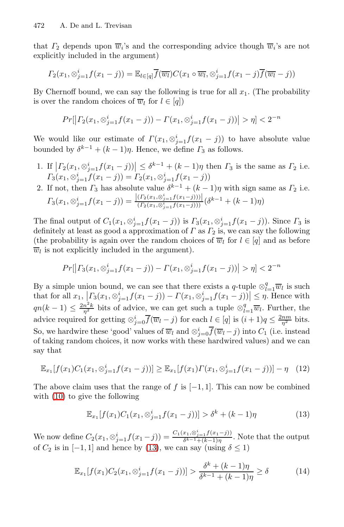that  $\Gamma_2$  depends upon  $\overline{w}_i$ 's and the corresponding advice though  $\overline{w}_i$ 's are not explicitly included in the argument)

$$
\Gamma_2(x_1,\otimes_{j=1}^i f(x_1-j))=\mathbb{E}_{l\in[q]}\overline{f}(\overline{w_l})C(x_1\circ\overline{w_l},\otimes_{j=1}^i f(x_1-j)\overline{f}(\overline{w_l}-j))
$$

By Chernoff bound, we can say the following is true for all  $x_1$ . (The probability is over the random choices of  $\overline{w}_l$  for  $l \in [q]$ )

$$
Pr[|T_2(x_1, \otimes_{j=1}^i f(x_1 - j)) - T(x_1, \otimes_{j=1}^i f(x_1 - j))| > \eta] < 2^{-n}
$$

We would like our estimate of  $\Gamma(x_1, \otimes_{j=1}^i f(x_1 - j))$  to have absolute value bounded by  $\delta^{k-1} + (k-1)\eta$ . Hence, we define  $\Gamma_3$  as follows.

- 1. If  $\left| \Gamma_2(x_1, \otimes_{j=1}^i f(x_1 j)) \right| \leq \delta^{k-1} + (k-1)\eta$  then  $\Gamma_3$  is the same as  $\Gamma_2$  i.e.  $\Gamma_3(x_1, \otimes_{j=1}^t f(x_1 - j)) = \Gamma_2(x_1, \otimes_{j=1}^t f(x_1 - j))$
- 2. If not, then  $\Gamma_3$  has absolute value  $\delta^{k-1} + (k-1)\eta$  with sign same as  $\Gamma_2$  i.e.  $\Gamma_3(x_1, \otimes_{j=1}^i f(x_1-j)) = \frac{|(\Gamma_2(x_1, \otimes_{j=1}^i f(x_1-j)))|}{(\Gamma_2(x_1, \otimes_{j=1}^i f(x_1-j)))}$  $\frac{(I_2(x_1,\otimes_{j=1}^j f(x_1-j)))}{(I_2(x_1,\otimes_{j=1}^i f(x_1-j)))}(\delta^{k-1}+(k-1)\eta)$

The final output of  $C_1(x_1, \otimes_{j=1}^i f(x_1 - j))$  is  $\Gamma_3(x_1, \otimes_{j=1}^i f(x_1 - j))$ . Since  $\Gamma_3$  is<br>definitely at least as good a approximation of  $\Gamma$  as  $\Gamma_3$  is we can say the following definitely at least as good a approximation of  $\Gamma$  as  $\Gamma_2$  is, we can say the following (the probability is again over the random choices of  $\overline{w}$ , for  $l \in [a]$  and as before (the probability is again over the random choices of  $\overline{w}_l$  for  $l \in [q]$  and as before  $\overline{w}_l$  is not explicitly included in the argument).

$$
Pr[|T_3(x_1, \otimes_{j=1}^i f(x_1 - j)) - T(x_1, \otimes_{j=1}^i f(x_1 - j))| > \eta] < 2^{-n}
$$

<span id="page-10-0"></span>By a simple union bound, we can see that there exists a q-tuple  $\otimes_{l=1}^{q} \overline{w}_l$  is such that for all  $x_l$ ,  $|\Gamma_l(x_l \otimes i - f(x_l - i))| \leq r_l$ . Hence with that for all  $x_1, [T_3(x_1, \otimes_{j=1}^i f(x_1 - j)) - T(x_1, \otimes_{j=1}^i f(x_1 - j))] \leq \eta$ . Hence with  $qn(k-1) \leq \frac{2n^2k}{n^2}$  bits of advice, we can get such a tuple  $\otimes_{l=1}^q \overline{w}_l$ . Further, the advice required for getting  $\otimes_{j=0}^{i} \overline{f}(\overline{w}_l - j)$  for each  $l \in [q]$  is  $(i+1)q \leq \frac{2nm}{\eta^2}$  bits. So, we hardwire these 'good' values of  $\overline{w}_l$  and  $\otimes_{j=0}^i f(\overline{w}_l-j)$  into  $C_1$  (i.e. instead<br>of taking random choices it now works with these hardwired values) and we can of taking random choices, it now works with these hardwired values) and we can say that

$$
\mathbb{E}_{x_1}[f(x_1)C_1(x_1,\otimes_{j=1}^i f(x_1-j))] \geq \mathbb{E}_{x_1}[f(x_1)\Gamma(x_1,\otimes_{j=1}^i f(x_1-j))] - \eta \quad (12)
$$

The above claim uses that the range of f is  $[-1, 1]$ . This can now be combined with  $(10)$  to give the following

$$
\mathbb{E}_{x_1}[f(x_1)C_1(x_1,\otimes_{j=1}^i f(x_1-j))] > \delta^k + (k-1)\eta \tag{13}
$$

We now define  $C_2(x_1, \otimes_{j=1}^i f(x_1-j)) = \frac{C_1(x_1, \otimes_{j=1}^i f(x_1-j))}{\delta^{k-1}+(k-1)\eta}$ . Note that the output of  $C_i$  is in [ 1,1] and bange by (12), we see say (wing  $\delta < 1$ ) of  $C_2$  is in  $[-1, 1]$  and hence by (13), we can say (using  $\delta \le 1$ )

$$
\mathbb{E}_{x_1}[f(x_1)C_2(x_1,\otimes_{j=1}^i f(x_1-j))] > \frac{\delta^k + (k-1)\eta}{\delta^{k-1} + (k-1)\eta} \ge \delta
$$
 (14)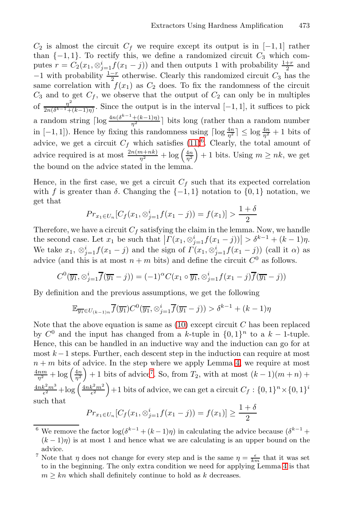$C_2$  is almost the circuit  $C_f$  we require except its output is in [−1,1] rather than  $\{-1, 1\}$ . To rectify this, we define a randomized circuit  $C_3$  which computes  $r = C_2(x_1, \otimes_{j=1}^i f(x_1 - j))$  $r = C_2(x_1, \otimes_{j=1}^i f(x_1 - j))$  $r = C_2(x_1, \otimes_{j=1}^i f(x_1 - j))$  and then outputs 1 with probability  $\frac{1+r}{2}$  and −1 with probability  $\frac{1-r}{2}$  otherwise. Clearly this randomized circuit  $C_3$  has the same correlation with  $f(x_1)$  as  $C_2$  does. To fix the randomness of the circuit same correlation with  $f(x_1)$  as  $C_2$  does. To fix the randomness of the circuit  $C_3$  and to get  $C_f$ , we observe that the output of  $C_2$  can only be in multiples of  $\frac{\eta^2}{2n(\delta^{k-1}+(k-1)\eta)}$ . Since the output is in the interval [−1, 1], it suffices to pick a random string  $\lceil \log \frac{4n(\delta^{k-1}+(k-1)\eta)}{\eta^2} \rceil$  bits long (rather than a random number<br>in [1, 1, 1]). Hence by fixing this pandamages wing  $\lceil \log 4n \rceil \leq \log 4n + 1$  bits of in  $[-1, 1]$ ). Hence by fixing this randomness using  $\lceil \log \frac{4n}{\eta^2} \rceil \leq \log \frac{4n}{\eta^2} + 1$  bits of advice, we get a circuit  $C_f$  which satisfies  $(11)^6$ . Clearly, the total amount of advice required is at most  $\frac{2n(m+nk)}{\eta^2} + \log\left(\frac{4n}{\eta^2}\right) + 1$  bits. Using  $m \ge nk$ , we get  $+ 1$  bits. Using  $m \geq nk$ , we get the bound on the advice stated in the lemma.

Hence, in the first case, we get a circuit  $C_f$  such that its expected correlation with f is greater than  $\delta$ . Changing the  $\{-1,1\}$  notation to  $\{0,1\}$  notation, we get that

$$
Pr_{x_1 \in U_n}[C_f(x_1, \otimes_{j=1}^i f(x_1 - j)) = f(x_1)] > \frac{1 + \delta}{2}
$$

Therefore, we have a circuit  $C_f$  satisfying the claim in the lemma. Now, we handle the second case. Let  $x_1$  be such that  $| \Gamma(x_1, \otimes_{j=1}^i f(x_1 - j)) | > \delta^{k-1} + (k-1)\eta$ . We take  $x_1, \otimes_{j=1}^i f(x_1 - j)$  and the sign of  $\Gamma(x_1, \otimes_{j=1}^i f(x_1 - j))$  (call it  $\alpha$ ) as advice (and this is at most  $n + m$  bits) and define the circuit  $C^0$  as follows.

$$
C^0(\overline{y_1}, \otimes_{j=1}^i \overline{f}(\overline{y_1} - j)) = (-1)^{\alpha} C(x_1 \circ \overline{y_1}, \otimes_{j=1}^i f(x_1 - j) \overline{f}(\overline{y_1} - j))
$$

By definition [an](#page-11-1)d the previous assump[tio](#page-9-2)ns, we get the following

$$
\mathbb{E}_{\overline{y_1}\in U_{(k-1)n}}\overline{f}(\overline{y_1})C^0(\overline{y_1},\otimes_{j=1}^i\overline{f}(\overline{y_1}-j)) > \delta^{k-1} + (k-1)\eta
$$

<span id="page-11-0"></span>Note that the above equation is same as  $(10)$  except circuit C has been replaced by  $C^0$  and the input has changed from a k-tuple in  $\{0, 1\}^n$  to a  $k - 1$ -tuple. Hence, this can be handled in an inductive way and the induction can go for at most  $k-1$  steps. Further, each descent step in the induction can require at most  $n+m$  bits of advice. In the step where we apply Lemma 4, we require at most  $n + m$  bits of advice. In the step where we apply Lemma 4, we require at most  $\frac{4nm}{n^2} + \log\left(\frac{4n}{n^2}\right) + 1$  bits of advice<sup>7</sup>. So, from  $T_2$ , with at most  $(k-1)(m+n) +$  $+ 1$  bits of advice<sup>7</sup>. So, from  $T_2$ , with at most  $(k - 1)(m + n) +$  $\frac{4nk^2m^3}{\epsilon^2} + \log \left( \frac{4nk^2m^2}{\epsilon^2} \right)$  $+1$  bits of advice, we can get a [ci](#page-9-2)rcuit  $C_f : \{0,1\}^n \times \{0,1\}^i$ such that

$$
Pr_{x_1 \in U_n}[C_f(x_1, \otimes_{j=1}^i f(x_1 - j)) = f(x_1)] \ge \frac{1 + \delta}{2}
$$

<span id="page-11-1"></span><sup>&</sup>lt;sup>6</sup> We remove the factor  $\log(\delta^{k-1} + (k-1)\eta)$  in calculating the advice because  $(\delta^{k-1} +$  $(k-1)\eta$ ) is at most 1 and hence what we are calculating is an upper bound on the advice.

<sup>&</sup>lt;sup>7</sup> Note that  $\eta$  does not change for every step and is the same  $\eta = \frac{\epsilon}{km}$  that it was set to in the beginning. The only extra condition we need for applying Lemma 4 is that  $m \geq kn$  which shall definitely continue to hold as k decreases.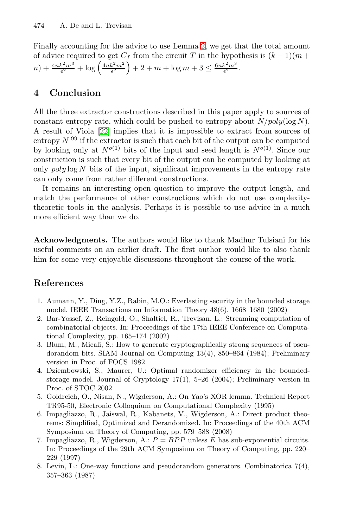Finally accounting for the advice to use Lemma 2, we get that the total amount [of a](#page-13-11)dvice required to get  $C_f$  from the circuit T in the hypothesis is  $(k-1)(m+1)(m^2m^3)$  $n) + \frac{4nk^2m^3}{\epsilon^2} + \log \left( \frac{4nk^2m^2}{\epsilon^2} \right)$  $+2+m+\log m+3 \leq \frac{6nk^2m^3}{\epsilon^2}.$ 

# **4 Conclusion**

All the three extractor constructions described in this paper apply to sources of constant entropy rate, which could be pushed to entropy about  $N/poly(\log N)$ . A result of Viola [22] implies that it is impossible to extract from sources of entropy  $N^{.99}$  if the extractor is such that each bit of the output can be computed by looking only at  $N^{o(1)}$  bits of the input and seed length is  $N^{o(1)}$ . Since our construction is such that every bit of the output can be computed by looking at only  $poly \log N$  bits of the input, significant improvements in the entropy rate can only come from rather different constructions.

It remains an interesting open question to improve the output length, and match the performance of other constructions which do not use complexitytheoretic tools in the analysis. Perhaps it is possible to use advice in a much more efficient way than we do.

<span id="page-12-2"></span>**Acknowledgments.** The authors would like to thank Madhur Tulsiani for his useful comments on an earlier draft. The first author would like to also thank him for some very enjoyable discussions throughout the course of the work.

## <span id="page-12-3"></span>**References**

- 1. Aumann, Y., Ding, Y.Z., Rabin, M.O.: Everlasting security in the bounded storage model. IEEE Transactions on Information Theory 48(6), 1668–1680 (2002)
- 2. Bar-Yossef, Z., Reingold, O., Shaltiel, R., Trevisan, L.: Streaming computation of combinatorial objects. In: Proceedings of the 17th IEEE Conference on Computational Complexity, pp. 165–174 (2002)
- 3. Blum, M., Micali, S.: How to generate cryptographically strong sequences of pseudorandom bits. SIAM Journal on Computing 13(4), 850–864 (1984); Preliminary version in Proc. of FOCS 1982
- <span id="page-12-1"></span>4. Dziembowski, S., Maurer, U.: Optimal randomizer efficiency in the boundedstorage model. Journal of Cryptology 17(1), 5–26 (2004); Preliminary version in Proc. of STOC 2002
- <span id="page-12-0"></span>5. Goldreich, O., Nisan, N., Wigderson, A.: On Yao's XOR lemma. Technical Report TR95-50, Electronic Colloquium on Computational Complexity (1995)
- 6. Impagliazzo, R., Jaiswal, R., Kabanets, V., Wigderson, A.: Direct product theorems: Simplified, Optimized and Derandomized. In: Proceedings of the 40th ACM Symposium on Theory of Computing, pp. 579–588 (2008)
- 7. Impagliazzo, R., Wigderson, A.:  $P = BPP$  unless E has sub-exponential circuits. In: Proceedings of the 29th ACM Symposium on Theory of Computing, pp. 220– 229 (1997)
- 8. Levin, L.: One-way functions and pseudorandom generators. Combinatorica 7(4), 357–363 (1987)